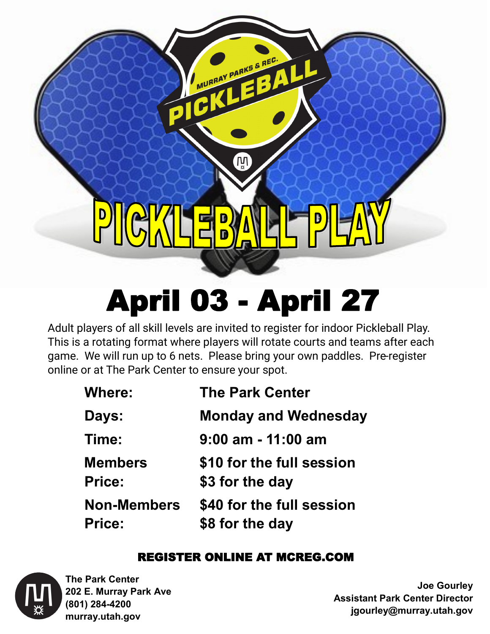**IN** 

MURRAY PARKS & REC.

# April 03 - April 27

Adult players of all skill levels are invited to register for indoor Pickleball Play. This is a rotating format where players will rotate courts and teams after each game. We will run up to 6 nets. Please bring your own paddles. Pre-register online or at The Park Center to ensure your spot.

| <b>The Park Center</b>                       |
|----------------------------------------------|
| <b>Monday and Wednesday</b>                  |
| $9:00$ am - 11:00 am                         |
| \$10 for the full session<br>\$3 for the day |
| \$40 for the full session<br>\$8 for the day |
|                                              |

# REGISTER ONLINE AT MCREG.COM



**The Park Center 202 E. Murray Park Ave (801) 284-4200 murray.utah.gov**

**Joe Gourley Assistant Park Center Director jgourley@murray.utah.gov**